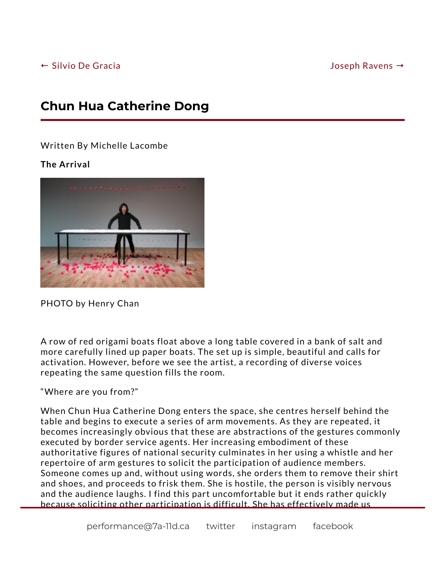## **Chun Hua Catherine Dong**

Written By Michelle Lacombe

## **The Arrival**



PHOTO by Henry Chan

A row of red origami boats float above a long table covered in a bank of salt and more carefully lined up paper boats. The set up is simple, beautiful and calls for activation. However, before we see the artist, a recording of diverse voices repeating the same question fills the room.

"Where are you from?"

When Chun Hua Catherine Dong enters the space, she centres herself behind the table and begins to execute a series of arm movements. As they are repeated, it becomes increasingly obvious that these are abstractions of the gestures commonly executed by border service agents. Her increasing embodiment of these authoritative figures of national security culminates in her using a whistle and her repertoire of arm gestures to solicit the participation of audience members. Someone comes up and, without using words, she orders them to remove their shirt and shoes, and proceeds to frisk them. She is hostile, the person is visibly nervous and the audience laughs. I find this part uncomfortable but it ends rather quickly because soliciting other participation is difficult. She has effectively made us